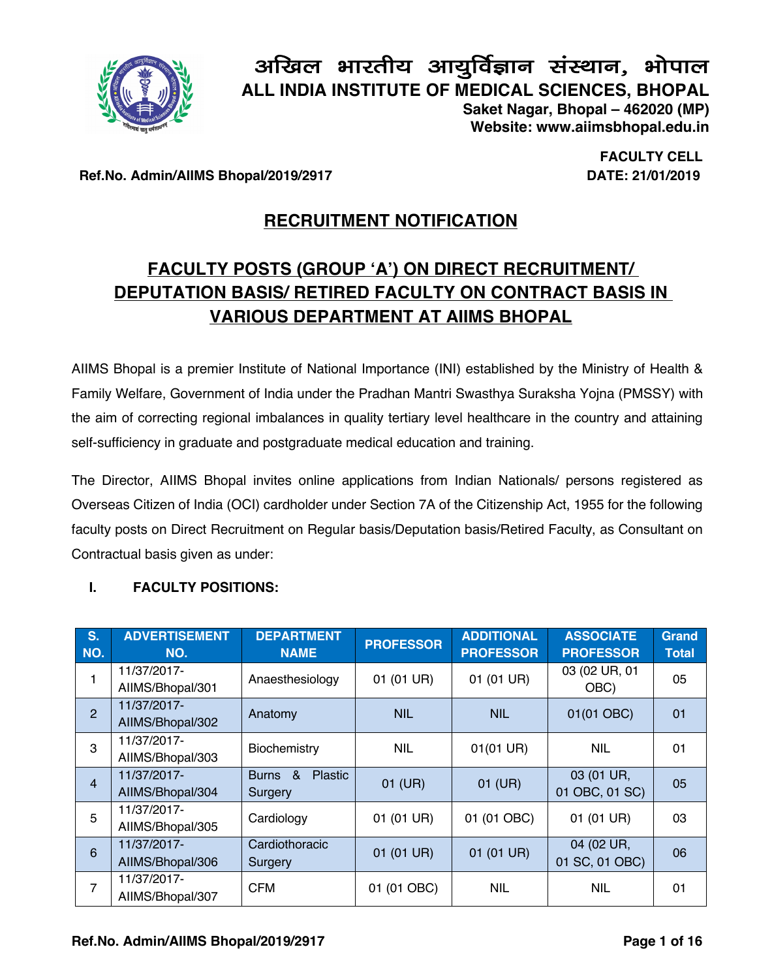

## अखिल भारतीय आयुर्विज्ञान संस्थान, भोपाल **ALL INDIA INSTITUTE OF MEDICAL SCIENCES, BHOPAL**

**Saket Nagar, Bhopal – 462020 (MP) Website: www.aiimsbhopal.edu.in**

 **Ref.No. Admin/AIIMS Bhopal/2019/2917 DATE: 21/01/2019**

**FACULTY CELL**

### **RECRUITMENT NOTIFICATION**

## **FACULTY POSTS (GROUP 'A') ON DIRECT RECRUITMENT/ DEPUTATION BASIS/ RETIRED FACULTY ON CONTRACT BASIS IN VARIOUS DEPARTMENT AT AIIMS BHOPAL**

AIIMS Bhopal is a premier Institute of National Importance (INI) established by the Ministry of Health & Family Welfare, Government of India under the Pradhan Mantri Swasthya Suraksha Yojna (PMSSY) with the aim of correcting regional imbalances in quality tertiary level healthcare in the country and attaining self-sufficiency in graduate and postgraduate medical education and training.

The Director, AIIMS Bhopal invites online applications from Indian Nationals/ persons registered as Overseas Citizen of India (OCI) cardholder under Section 7A of the Citizenship Act, 1955 for the following faculty posts on Direct Recruitment on Regular basis/Deputation basis/Retired Faculty, as Consultant on Contractual basis given as under:

#### **I. FACULTY POSITIONS:**

| S.<br>NO.      | <b>ADVERTISEMENT</b><br>NO.     | <b>DEPARTMENT</b><br><b>NAME</b>                  | <b>PROFESSOR</b>    | <b>ADDITIONAL</b><br><b>PROFESSOR</b> | <b>ASSOCIATE</b><br><b>PROFESSOR</b> | <b>Grand</b><br><b>Total</b> |
|----------------|---------------------------------|---------------------------------------------------|---------------------|---------------------------------------|--------------------------------------|------------------------------|
| 1              | 11/37/2017-<br>AllMS/Bhopal/301 | Anaesthesiology                                   | 01 (01 UR)          | 01 (01 UR)                            | 03 (02 UR, 01<br>OBC)                | 05                           |
| $\overline{2}$ | 11/37/2017-<br>AllMS/Bhopal/302 | Anatomy                                           | <b>NIL</b>          | <b>NIL</b>                            | 01(01 OBC)                           | 01                           |
| 3              | 11/37/2017-<br>AllMS/Bhopal/303 | Biochemistry                                      | <b>NIL</b>          | 01(01 UR)                             | <b>NIL</b>                           | 01                           |
| $\overline{4}$ | 11/37/2017-<br>AllMS/Bhopal/304 | <b>Plastic</b><br>୍ଷ &<br><b>Burns</b><br>Surgery | 01 (UR)             | 01 (UR)                               | 03 (01 UR,<br>01 OBC, 01 SC)         | 05                           |
| 5              | 11/37/2017-<br>AllMS/Bhopal/305 | Cardiology                                        | 01 (01 UR)          | 01 (01 OBC)                           | 01 (01 UR)                           | 03                           |
| 6              | 11/37/2017-<br>AllMS/Bhopal/306 | Cardiothoracic<br>Surgery                         | 01 (01 UR)          | 01 (01 UR)                            | 04 (02 UR,<br>01 SC, 01 OBC)         | 06                           |
| 7              | 11/37/2017-<br>AllMS/Bhopal/307 | <b>CFM</b>                                        | $(01$ OBC $)$<br>01 | NIL                                   | <b>NIL</b>                           | 01                           |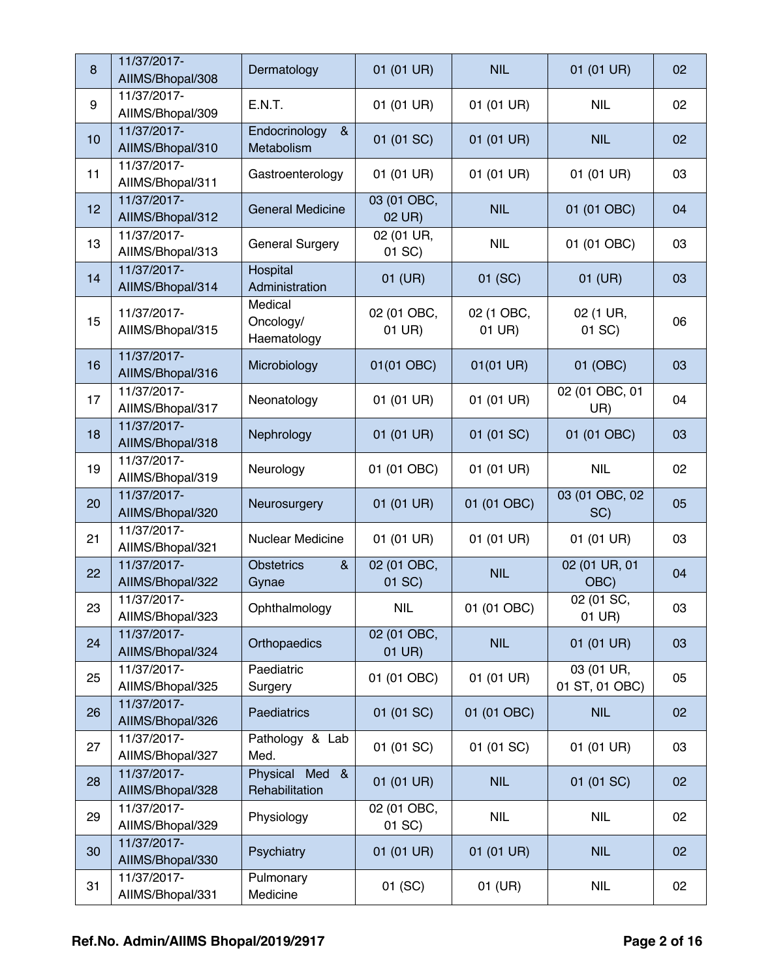| $\bf 8$ | 11/37/2017-<br>AllMS/Bhopal/308 | Dermatology                                   | 01 (01 UR)            | <b>NIL</b>           | 01 (01 UR)                   | 02 |
|---------|---------------------------------|-----------------------------------------------|-----------------------|----------------------|------------------------------|----|
| 9       | 11/37/2017-<br>AllMS/Bhopal/309 | E.N.T.                                        | 01 (01 UR)            | 01 (01 UR)           | <b>NIL</b>                   | 02 |
| 10      | 11/37/2017-<br>AllMS/Bhopal/310 | Endocrinology<br>8 <sub>1</sub><br>Metabolism | 01 (01 SC)            | 01 (01 UR)           | <b>NIL</b>                   | 02 |
| 11      | 11/37/2017-<br>AllMS/Bhopal/311 | Gastroenterology                              | 01 (01 UR)            | 01 (01 UR)           | 01 (01 UR)                   | 03 |
| 12      | 11/37/2017-<br>AIIMS/Bhopal/312 | <b>General Medicine</b>                       | 03 (01 OBC,<br>02 UR) | <b>NIL</b>           | 01 (01 OBC)                  | 04 |
| 13      | 11/37/2017-<br>AllMS/Bhopal/313 | <b>General Surgery</b>                        | 02 (01 UR,<br>01 SC)  | <b>NIL</b>           | 01 (01 OBC)                  | 03 |
| 14      | 11/37/2017-<br>AllMS/Bhopal/314 | Hospital<br>Administration                    | 01 (UR)               | 01 (SC)              | 01 (UR)                      | 03 |
| 15      | 11/37/2017-<br>AllMS/Bhopal/315 | Medical<br>Oncology/<br>Haematology           | 02 (01 OBC,<br>01 UR) | 02 (1 OBC,<br>01 UR) | 02 (1 UR,<br>01 SC)          | 06 |
| 16      | 11/37/2017-<br>AllMS/Bhopal/316 | Microbiology                                  | 01(01 OBC)            | 01(01 UR)            | 01 (OBC)                     | 03 |
| 17      | 11/37/2017-<br>AllMS/Bhopal/317 | Neonatology                                   | 01 (01 UR)            | 01 (01 UR)           | 02 (01 OBC, 01<br>UR)        | 04 |
| 18      | 11/37/2017-<br>AIIMS/Bhopal/318 | Nephrology                                    | 01 (01 UR)            | 01 (01 SC)           | 01 (01 OBC)                  | 03 |
| 19      | 11/37/2017-<br>AllMS/Bhopal/319 | Neurology                                     | 01 (01 OBC)           | 01 (01 UR)           | <b>NIL</b>                   | 02 |
| 20      | 11/37/2017-<br>AllMS/Bhopal/320 | Neurosurgery                                  | 01 (01 UR)            | 01 (01 OBC)          | 03 (01 OBC, 02<br>SC)        | 05 |
| 21      | 11/37/2017-<br>AllMS/Bhopal/321 | Nuclear Medicine                              | 01 (01 UR)            | 01 (01 UR)           | 01 (01 UR)                   | 03 |
| 22      | 11/37/2017-<br>AllMS/Bhopal/322 | <b>Obstetrics</b><br>&<br>Gynae               | 02 (01 OBC,<br>01 SC) | <b>NIL</b>           | 02 (01 UR, 01<br>OBC)        | 04 |
| 23      | 11/37/2017-<br>AllMS/Bhopal/323 | Ophthalmology                                 | <b>NIL</b>            | 01 (01 OBC)          | 02 (01 SC,<br>01 UR)         | 03 |
| 24      | 11/37/2017-<br>AIIMS/Bhopal/324 | Orthopaedics                                  | 02 (01 OBC,<br>01 UR) | <b>NIL</b>           | 01 (01 UR)                   | 03 |
| 25      | 11/37/2017-<br>AllMS/Bhopal/325 | Paediatric<br>Surgery                         | 01 (01 OBC)           | 01 (01 UR)           | 03 (01 UR,<br>01 ST, 01 OBC) | 05 |
| 26      | 11/37/2017-<br>AllMS/Bhopal/326 | Paediatrics                                   | 01 (01 SC)            | 01 (01 OBC)          | <b>NIL</b>                   | 02 |
| 27      | 11/37/2017-<br>AllMS/Bhopal/327 | Pathology & Lab<br>Med.                       | 01 (01 SC)            | 01 (01 SC)           | 01 (01 UR)                   | 03 |
| 28      | 11/37/2017-<br>AllMS/Bhopal/328 | Physical Med &<br>Rehabilitation              | 01 (01 UR)            | <b>NIL</b>           | 01 (01 SC)                   | 02 |
| 29      | 11/37/2017-<br>AllMS/Bhopal/329 | Physiology                                    | 02 (01 OBC,<br>01 SC) | <b>NIL</b>           | <b>NIL</b>                   | 02 |
| 30      | 11/37/2017-<br>AllMS/Bhopal/330 | Psychiatry                                    | 01 (01 UR)            | 01 (01 UR)           | <b>NIL</b>                   | 02 |
| 31      | 11/37/2017-<br>AllMS/Bhopal/331 | Pulmonary<br>Medicine                         | 01 (SC)               | 01 (UR)              | <b>NIL</b>                   | 02 |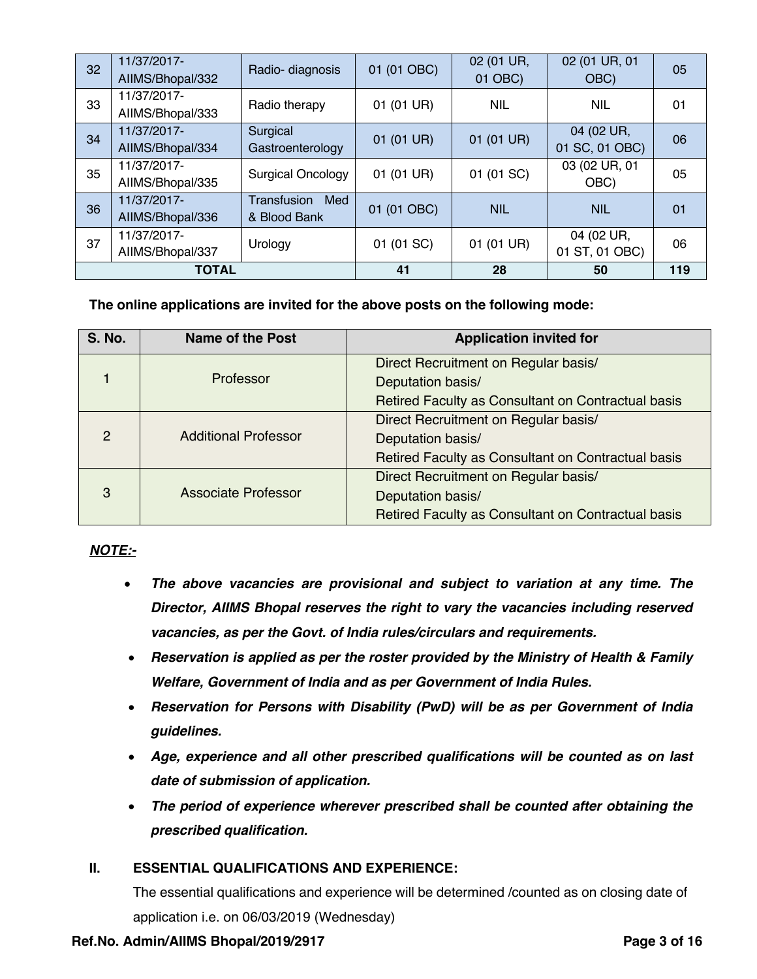| 32           | 11/37/2017-<br>AllMS/Bhopal/332 | Radio- diagnosis                   | 01 (01 OBC) | 02 (01 UR,<br>01 OBC) | 02 (01 UR, 01<br>OBC)        | 05  |
|--------------|---------------------------------|------------------------------------|-------------|-----------------------|------------------------------|-----|
| 33           | 11/37/2017-<br>AllMS/Bhopal/333 | Radio therapy                      | 01 (01 UR)  | NIL                   | <b>NIL</b>                   | 01  |
| 34           | 11/37/2017-<br>AIIMS/Bhopal/334 | Surgical<br>Gastroenterology       | 01 (01 UR)  | 01 (01 UR)            | 04 (02 UR,<br>01 SC, 01 OBC) | 06  |
| 35           | 11/37/2017-<br>AllMS/Bhopal/335 | <b>Surgical Oncology</b>           | 01 (01 UR)  | 01 (01 SC)            | 03 (02 UR, 01<br>OBC)        | 05  |
| 36           | 11/37/2017-<br>AIIMS/Bhopal/336 | Transfusion<br>Med<br>& Blood Bank | 01 (01 OBC) | <b>NIL</b>            | <b>NIL</b>                   | 01  |
| 37           | 11/37/2017-<br>AllMS/Bhopal/337 | Urology                            | 01 (01 SC)  | 01 (01 UR)            | 04 (02 UR,<br>01 ST, 01 OBC) | 06  |
| <b>TOTAL</b> |                                 |                                    | 41          | 28                    | 50                           | 119 |

#### **The online applications are invited for the above posts on the following mode:**

| <b>S. No.</b> | <b>Name of the Post</b>     | <b>Application invited for</b>                     |  |
|---------------|-----------------------------|----------------------------------------------------|--|
|               |                             | Direct Recruitment on Regular basis/               |  |
|               | Professor                   | Deputation basis/                                  |  |
|               |                             | Retired Faculty as Consultant on Contractual basis |  |
| $\mathcal{P}$ |                             | Direct Recruitment on Regular basis/               |  |
|               | <b>Additional Professor</b> | Deputation basis/                                  |  |
|               |                             | Retired Faculty as Consultant on Contractual basis |  |
| 3             |                             | Direct Recruitment on Regular basis/               |  |
|               | <b>Associate Professor</b>  | Deputation basis/                                  |  |
|               |                             | Retired Faculty as Consultant on Contractual basis |  |

#### *NOTE:-*

- *The above vacancies are provisional and subject to variation at any time. The Director, AIIMS Bhopal reserves the right to vary the vacancies including reserved vacancies, as per the Govt. of India rules/circulars and requirements.*
- *Reservation is applied as per the roster provided by the Ministry of Health & Family Welfare, Government of India and as per Government of India Rules.*
- *Reservation for Persons with Disability (PwD) will be as per Government of India guidelines.*
- *Age, experience and all other prescribed qualifications will be counted as on last date of submission of application.*
- *The period of experience wherever prescribed shall be counted after obtaining the prescribed qualification.*

#### **II. ESSENTIAL QUALIFICATIONS AND EXPERIENCE:**

The essential qualifications and experience will be determined /counted as on closing date of application i.e. on 06/03/2019 (Wednesday)

#### **Ref.No. Admin/AIIMS Bhopal/2019/2917 Page 3 of 16**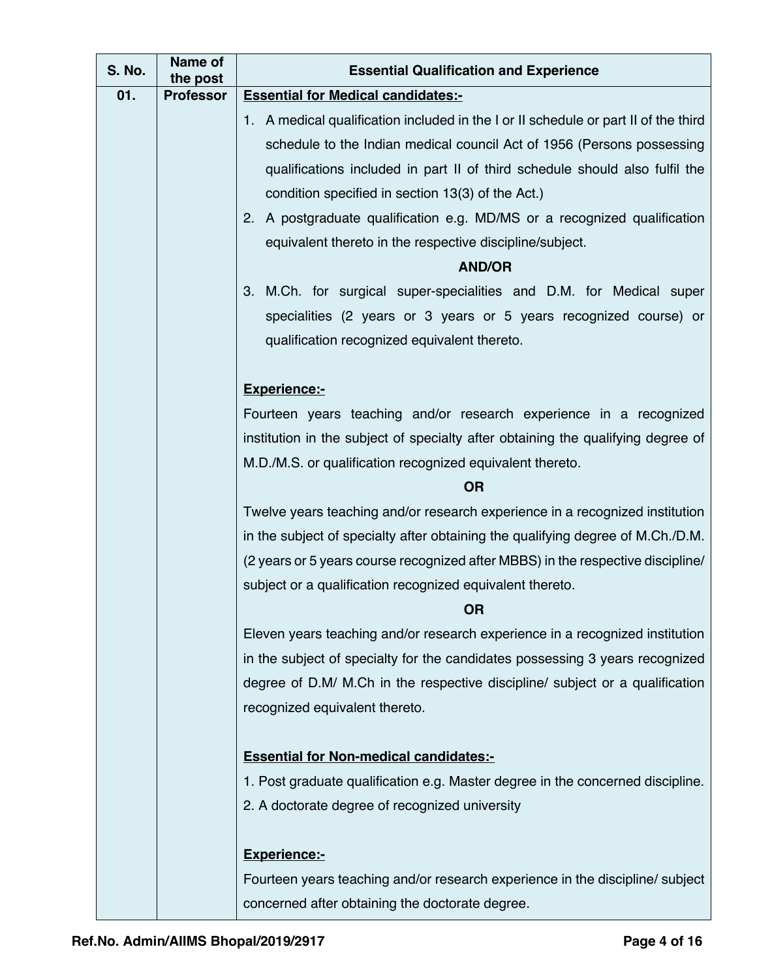| <b>S. No.</b>                                             | Name of<br>the post                                                             | <b>Essential Qualification and Experience</b>                                       |  |  |
|-----------------------------------------------------------|---------------------------------------------------------------------------------|-------------------------------------------------------------------------------------|--|--|
| 01.                                                       | <b>Professor</b>                                                                | <b>Essential for Medical candidates:-</b>                                           |  |  |
|                                                           |                                                                                 | 1. A medical qualification included in the I or II schedule or part II of the third |  |  |
|                                                           |                                                                                 | schedule to the Indian medical council Act of 1956 (Persons possessing              |  |  |
|                                                           |                                                                                 | qualifications included in part II of third schedule should also fulfil the         |  |  |
|                                                           |                                                                                 | condition specified in section 13(3) of the Act.)                                   |  |  |
|                                                           |                                                                                 | 2. A postgraduate qualification e.g. MD/MS or a recognized qualification            |  |  |
|                                                           |                                                                                 | equivalent thereto in the respective discipline/subject.                            |  |  |
|                                                           |                                                                                 | <b>AND/OR</b>                                                                       |  |  |
|                                                           |                                                                                 | 3. M.Ch. for surgical super-specialities and D.M. for Medical super                 |  |  |
|                                                           |                                                                                 | specialities (2 years or 3 years or 5 years recognized course) or                   |  |  |
|                                                           |                                                                                 | qualification recognized equivalent thereto.                                        |  |  |
|                                                           |                                                                                 |                                                                                     |  |  |
|                                                           |                                                                                 | <b>Experience:-</b>                                                                 |  |  |
|                                                           | Fourteen years teaching and/or research experience in a recognized              |                                                                                     |  |  |
|                                                           |                                                                                 | institution in the subject of specialty after obtaining the qualifying degree of    |  |  |
| M.D./M.S. or qualification recognized equivalent thereto. |                                                                                 |                                                                                     |  |  |
|                                                           |                                                                                 | <b>OR</b>                                                                           |  |  |
|                                                           |                                                                                 | Twelve years teaching and/or research experience in a recognized institution        |  |  |
|                                                           |                                                                                 | in the subject of specialty after obtaining the qualifying degree of M.Ch./D.M.     |  |  |
|                                                           | (2 years or 5 years course recognized after MBBS) in the respective discipline/ |                                                                                     |  |  |
|                                                           |                                                                                 | subject or a qualification recognized equivalent thereto.                           |  |  |
|                                                           |                                                                                 | <b>OR</b>                                                                           |  |  |
|                                                           |                                                                                 | Eleven years teaching and/or research experience in a recognized institution        |  |  |
|                                                           |                                                                                 | in the subject of specialty for the candidates possessing 3 years recognized        |  |  |
|                                                           |                                                                                 | degree of D.M/ M.Ch in the respective discipline/ subject or a qualification        |  |  |
|                                                           |                                                                                 | recognized equivalent thereto.                                                      |  |  |
|                                                           |                                                                                 | <b>Essential for Non-medical candidates:-</b>                                       |  |  |
|                                                           |                                                                                 | 1. Post graduate qualification e.g. Master degree in the concerned discipline.      |  |  |
|                                                           |                                                                                 | 2. A doctorate degree of recognized university                                      |  |  |
|                                                           |                                                                                 |                                                                                     |  |  |
|                                                           |                                                                                 | <b>Experience:-</b>                                                                 |  |  |
|                                                           |                                                                                 | Fourteen years teaching and/or research experience in the discipline/ subject       |  |  |
|                                                           |                                                                                 | concerned after obtaining the doctorate degree.                                     |  |  |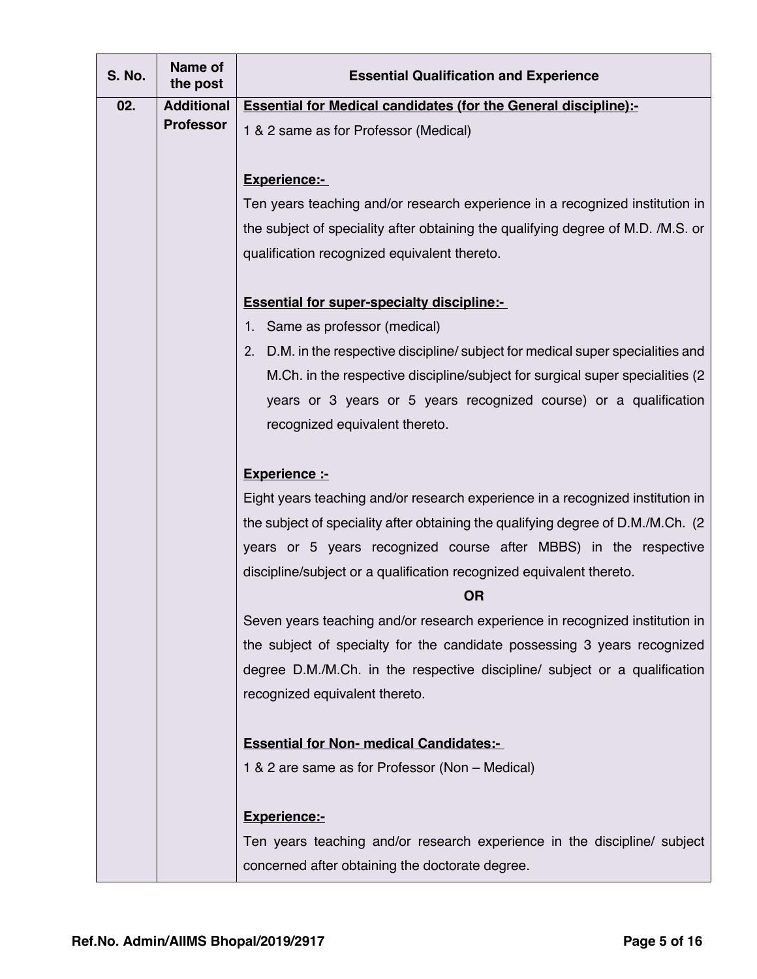| <b>S. No.</b> | Name of<br>the post | <b>Essential Qualification and Experience</b>                                     |  |  |
|---------------|---------------------|-----------------------------------------------------------------------------------|--|--|
| 02.           | <b>Additional</b>   | <b>Essential for Medical candidates (for the General discipline):-</b>            |  |  |
|               | <b>Professor</b>    | 1 & 2 same as for Professor (Medical)                                             |  |  |
|               |                     | Experience:-                                                                      |  |  |
|               |                     | Ten years teaching and/or research experience in a recognized institution in      |  |  |
|               |                     | the subject of speciality after obtaining the qualifying degree of M.D. /M.S. or  |  |  |
|               |                     | qualification recognized equivalent thereto.                                      |  |  |
|               |                     | <b>Essential for super-specialty discipline:-</b>                                 |  |  |
|               |                     | 1. Same as professor (medical)                                                    |  |  |
|               |                     | 2. D.M. in the respective discipline/ subject for medical super specialities and  |  |  |
|               |                     | M.Ch. in the respective discipline/subject for surgical super specialities (2)    |  |  |
|               |                     | years or 3 years or 5 years recognized course) or a qualification                 |  |  |
|               |                     | recognized equivalent thereto.                                                    |  |  |
|               |                     | <b>Experience :-</b>                                                              |  |  |
|               |                     | Eight years teaching and/or research experience in a recognized institution in    |  |  |
|               |                     | the subject of speciality after obtaining the qualifying degree of D.M./M.Ch. (2) |  |  |
|               |                     | years or 5 years recognized course after MBBS) in the respective                  |  |  |
|               |                     | discipline/subject or a qualification recognized equivalent thereto.              |  |  |
|               |                     | <b>OR</b>                                                                         |  |  |
|               |                     | Seven years teaching and/or research experience in recognized institution in      |  |  |
|               |                     | the subject of specialty for the candidate possessing 3 years recognized          |  |  |
|               |                     | degree D.M./M.Ch. in the respective discipline/ subject or a qualification        |  |  |
|               |                     | recognized equivalent thereto.                                                    |  |  |
|               |                     | <b>Essential for Non- medical Candidates:-</b>                                    |  |  |
|               |                     | 1 & 2 are same as for Professor (Non – Medical)                                   |  |  |
|               |                     | <b>Experience:-</b>                                                               |  |  |
|               |                     | Ten years teaching and/or research experience in the discipline/ subject          |  |  |
|               |                     | concerned after obtaining the doctorate degree.                                   |  |  |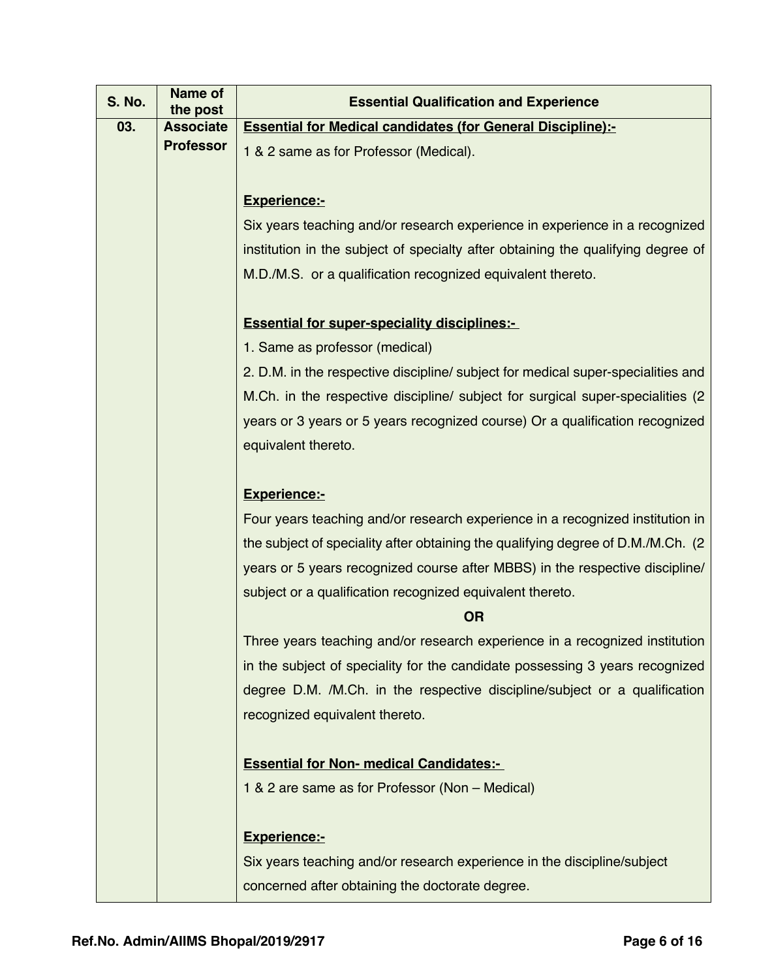| <b>S. No.</b> | <b>Name of</b><br>the post | <b>Essential Qualification and Experience</b>                                         |  |  |
|---------------|----------------------------|---------------------------------------------------------------------------------------|--|--|
| 03.           | <b>Associate</b>           | <b>Essential for Medical candidates (for General Discipline):-</b>                    |  |  |
|               | <b>Professor</b>           | 1 & 2 same as for Professor (Medical).                                                |  |  |
|               |                            | <b>Experience:-</b>                                                                   |  |  |
|               |                            | Six years teaching and/or research experience in experience in a recognized           |  |  |
|               |                            | institution in the subject of specialty after obtaining the qualifying degree of      |  |  |
|               |                            | M.D./M.S. or a qualification recognized equivalent thereto.                           |  |  |
|               |                            | <b>Essential for super-speciality disciplines:-</b><br>1. Same as professor (medical) |  |  |
|               |                            | 2. D.M. in the respective discipline/ subject for medical super-specialities and      |  |  |
|               |                            | M.Ch. in the respective discipline/ subject for surgical super-specialities (2)       |  |  |
|               |                            | years or 3 years or 5 years recognized course) Or a qualification recognized          |  |  |
|               |                            | equivalent thereto.                                                                   |  |  |
|               |                            | <b>Experience:-</b>                                                                   |  |  |
|               |                            | Four years teaching and/or research experience in a recognized institution in         |  |  |
|               |                            | the subject of speciality after obtaining the qualifying degree of D.M./M.Ch. (2)     |  |  |
|               |                            | years or 5 years recognized course after MBBS) in the respective discipline/          |  |  |
|               |                            | subject or a qualification recognized equivalent thereto.                             |  |  |
|               |                            | <b>OR</b>                                                                             |  |  |
|               |                            | Three years teaching and/or research experience in a recognized institution           |  |  |
|               |                            | in the subject of speciality for the candidate possessing 3 years recognized          |  |  |
|               |                            | degree D.M. /M.Ch. in the respective discipline/subject or a qualification            |  |  |
|               |                            | recognized equivalent thereto.                                                        |  |  |
|               |                            | <b>Essential for Non- medical Candidates:-</b>                                        |  |  |
|               |                            | 1 & 2 are same as for Professor (Non – Medical)                                       |  |  |
|               |                            | <b>Experience:-</b>                                                                   |  |  |
|               |                            | Six years teaching and/or research experience in the discipline/subject               |  |  |
|               |                            | concerned after obtaining the doctorate degree.                                       |  |  |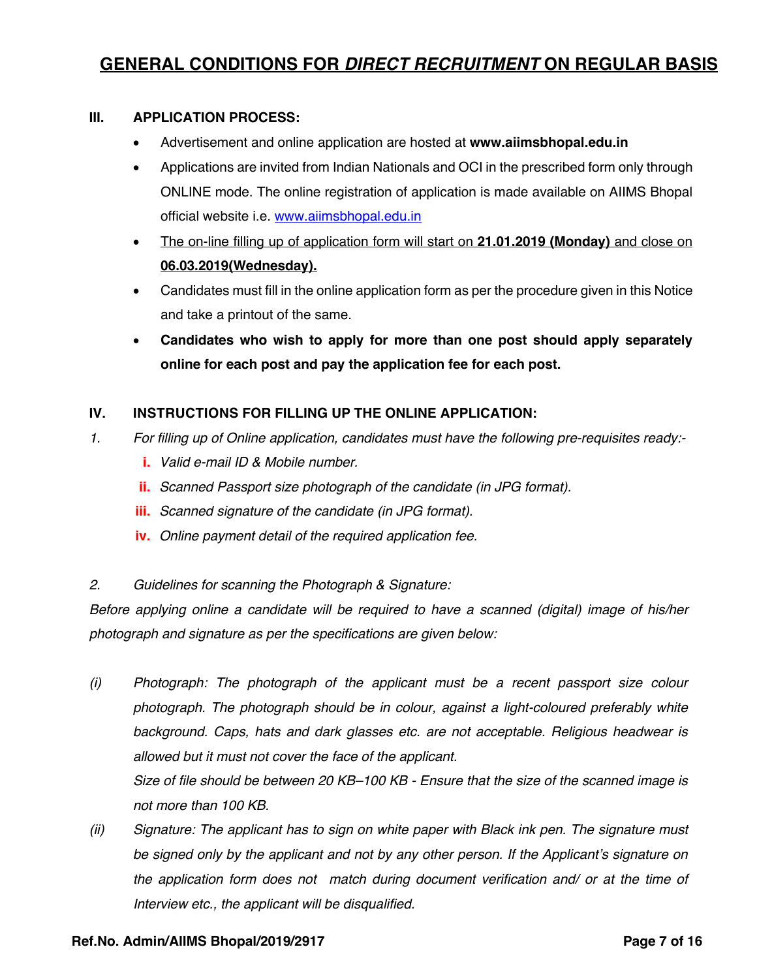### **GENERAL CONDITIONS FOR** *DIRECT RECRUITMENT* **ON REGULAR BASIS**

#### **III. APPLICATION PROCESS:**

- Advertisement and online application are hosted at **www.aiimsbhopal.edu.in**
- Applications are invited from Indian Nationals and OCI in the prescribed form only through ONLINE mode. The online registration of application is made available on AIIMS Bhopal official website i.e. www.aiimsbhopal.edu.in
- The on-line filling up of application form will start on **21.01.2019 (Monday)** and close on **06.03.2019(Wednesday).**
- Candidates must fill in the online application form as per the procedure given in this Notice and take a printout of the same.
- **Candidates who wish to apply for more than one post should apply separately online for each post and pay the application fee for each post.**

#### **IV. INSTRUCTIONS FOR FILLING UP THE ONLINE APPLICATION:**

- *1. For filling up of Online application, candidates must have the following pre-requisites ready:*
	- **i.** *Valid e-mail ID & Mobile number.*
	- **ii.** *Scanned Passport size photograph of the candidate (in JPG format).*
	- **iii.** *Scanned signature of the candidate (in JPG format).*
	- **iv.** *Online payment detail of the required application fee.*

#### *2. Guidelines for scanning the Photograph & Signature:*

*Before applying online a candidate will be required to have a scanned (digital) image of his/her photograph and signature as per the specifications are given below:*

- *(i) Photograph: The photograph of the applicant must be a recent passport size colour photograph. The photograph should be in colour, against a light-coloured preferably white background. Caps, hats and dark glasses etc. are not acceptable. Religious headwear is allowed but it must not cover the face of the applicant. Size of file should be between 20 KB–100 KB - Ensure that the size of the scanned image is not more than 100 KB.*
- *(ii) Signature: The applicant has to sign on white paper with Black ink pen. The signature must be signed only by the applicant and not by any other person. If the Applicant's signature on the application form does not match during document verification and/ or at the time of Interview etc., the applicant will be disqualified.*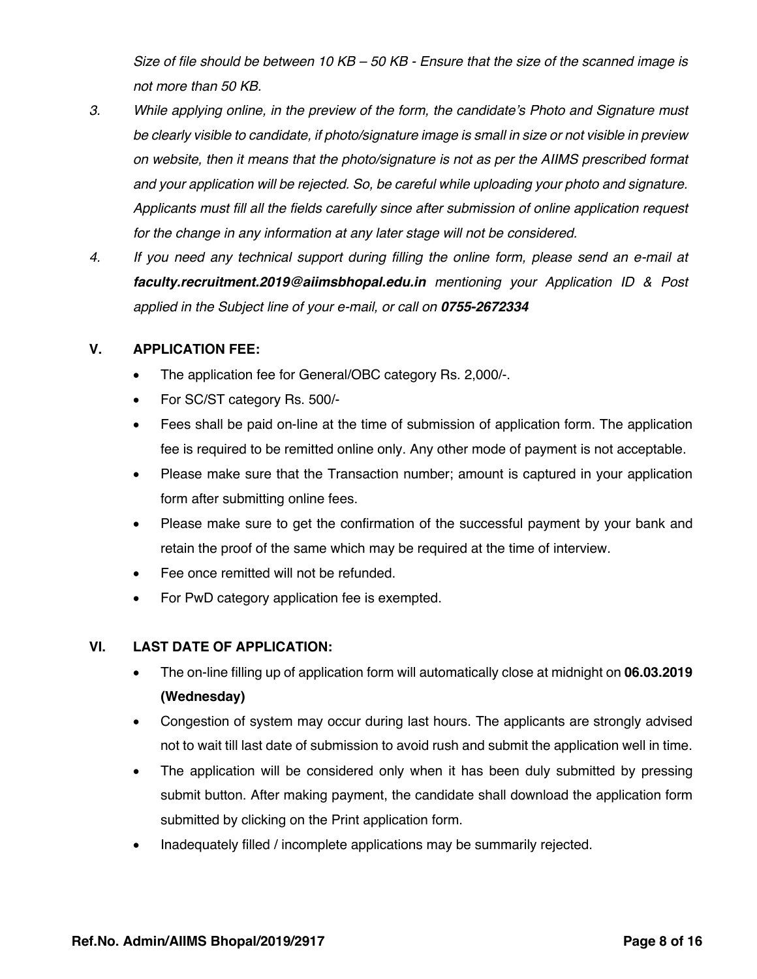*Size of file should be between 10 KB – 50 KB - Ensure that the size of the scanned image is not more than 50 KB.*

- *3. While applying online, in the preview of the form, the candidate's Photo and Signature must be clearly visible to candidate, if photo/signature image is small in size or not visible in preview on website, then it means that the photo/signature is not as per the AIIMS prescribed format and your application will be rejected. So, be careful while uploading your photo and signature. Applicants must fill all the fields carefully since after submission of online application request for the change in any information at any later stage will not be considered.*
- *4. If you need any technical support during filling the online form, please send an e-mail at faculty.recruitment.2019@aiimsbhopal.edu.in mentioning your Application ID & Post applied in the Subject line of your e-mail, or call on 0755-2672334*

#### **V. APPLICATION FEE:**

- The application fee for General/OBC category Rs. 2,000/-.
- For SC/ST category Rs. 500/-
- Fees shall be paid on-line at the time of submission of application form. The application fee is required to be remitted online only. Any other mode of payment is not acceptable.
- Please make sure that the Transaction number; amount is captured in your application form after submitting online fees.
- Please make sure to get the confirmation of the successful payment by your bank and retain the proof of the same which may be required at the time of interview.
- Fee once remitted will not be refunded.
- For PwD category application fee is exempted.

#### **VI. LAST DATE OF APPLICATION:**

- The on-line filling up of application form will automatically close at midnight on **06.03.2019 (Wednesday)**
- Congestion of system may occur during last hours. The applicants are strongly advised not to wait till last date of submission to avoid rush and submit the application well in time.
- The application will be considered only when it has been duly submitted by pressing submit button. After making payment, the candidate shall download the application form submitted by clicking on the Print application form.
- Inadequately filled / incomplete applications may be summarily rejected.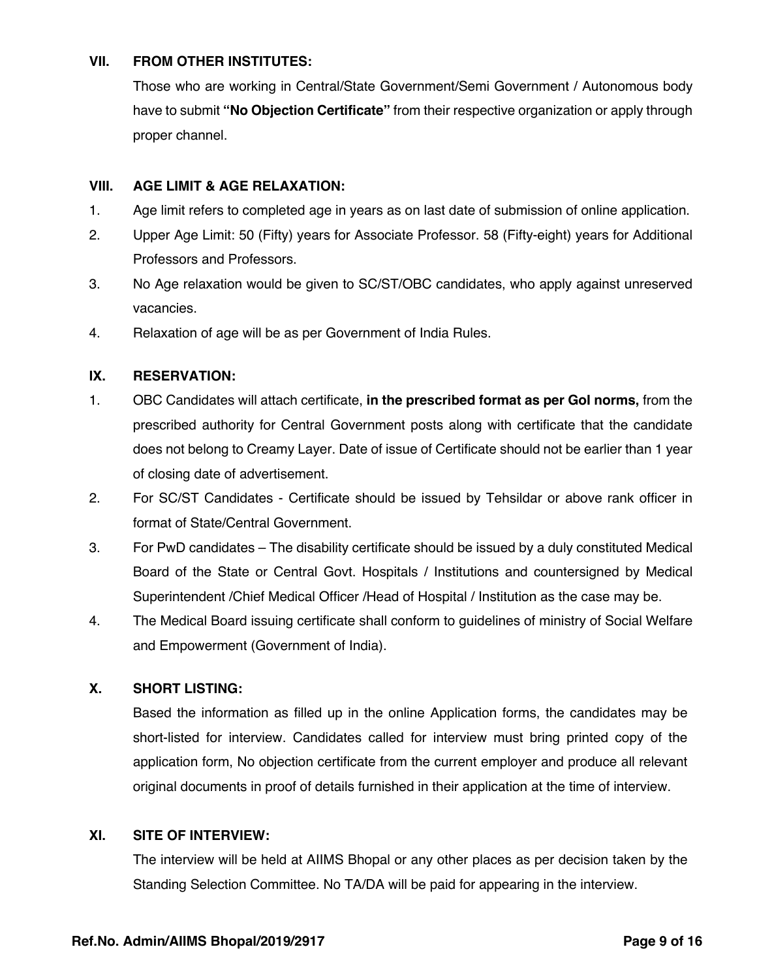#### **VII. FROM OTHER INSTITUTES:**

Those who are working in Central/State Government/Semi Government / Autonomous body have to submit **"No Objection Certificate"** from their respective organization or apply through proper channel.

#### **VIII. AGE LIMIT & AGE RELAXATION:**

- 1. Age limit refers to completed age in years as on last date of submission of online application.
- 2. Upper Age Limit: 50 (Fifty) years for Associate Professor. 58 (Fifty-eight) years for Additional Professors and Professors.
- 3. No Age relaxation would be given to SC/ST/OBC candidates, who apply against unreserved vacancies.
- 4. Relaxation of age will be as per Government of India Rules.

#### **IX. RESERVATION:**

- 1. OBC Candidates will attach certificate, **in the prescribed format as per GoI norms,** from the prescribed authority for Central Government posts along with certificate that the candidate does not belong to Creamy Layer. Date of issue of Certificate should not be earlier than 1 year of closing date of advertisement.
- 2. For SC/ST Candidates Certificate should be issued by Tehsildar or above rank officer in format of State/Central Government.
- 3. For PwD candidates The disability certificate should be issued by a duly constituted Medical Board of the State or Central Govt. Hospitals / Institutions and countersigned by Medical Superintendent /Chief Medical Officer /Head of Hospital / Institution as the case may be.
- 4. The Medical Board issuing certificate shall conform to guidelines of ministry of Social Welfare and Empowerment (Government of India).

#### **X. SHORT LISTING:**

Based the information as filled up in the online Application forms, the candidates may be short-listed for interview. Candidates called for interview must bring printed copy of the application form, No objection certificate from the current employer and produce all relevant original documents in proof of details furnished in their application at the time of interview.

#### **XI. SITE OF INTERVIEW:**

The interview will be held at AIIMS Bhopal or any other places as per decision taken by the Standing Selection Committee. No TA/DA will be paid for appearing in the interview.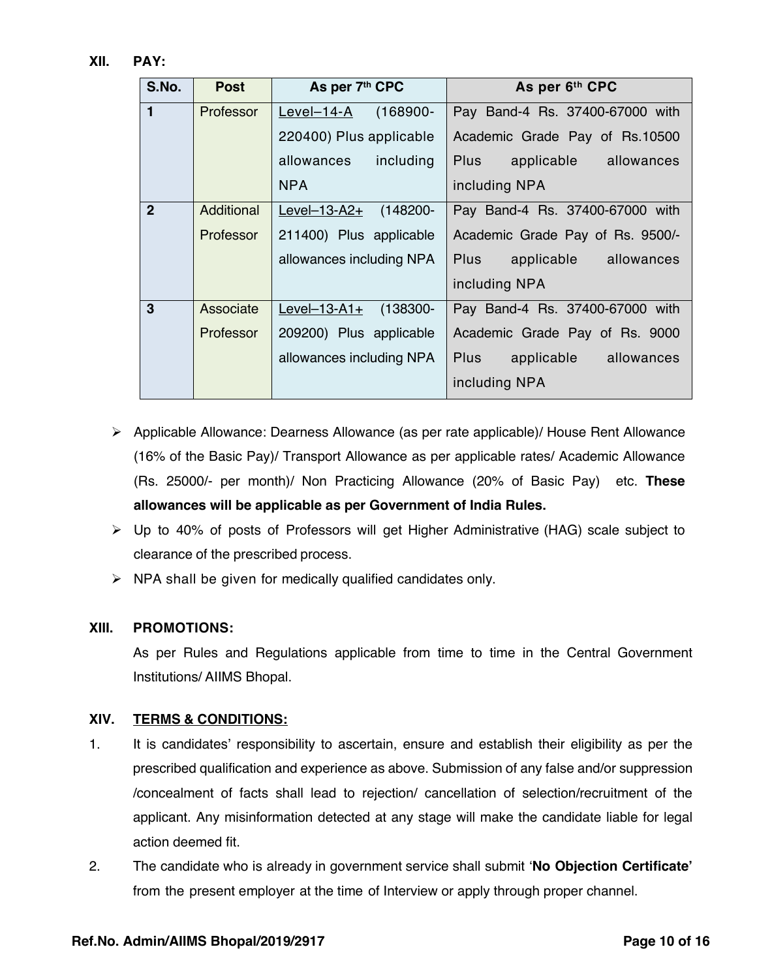**XII. PAY:**

| S.No.          | <b>Post</b> | As per 7th CPC                | As per 6th CPC                          |
|----------------|-------------|-------------------------------|-----------------------------------------|
| $\mathbf{1}$   | Professor   | $(168900 -$<br>Level-14-A     | Pay Band-4 Rs. 37400-67000 with         |
|                |             | 220400) Plus applicable       | Academic Grade Pay of Rs.10500          |
|                |             | including<br>allowances       | Plus<br>applicable<br>allowances        |
|                |             | <b>NPA</b>                    | including NPA                           |
| $\overline{2}$ | Additional  | $Level-13-A2+$<br>(148200-    | Pay Band-4 Rs. 37400-67000 with         |
|                | Professor   | 211400) Plus applicable       | Academic Grade Pay of Rs. 9500/-        |
|                |             | allowances including NPA      | <b>Plus</b><br>applicable allowances    |
|                |             |                               | including NPA                           |
| 3              | Associate   | $Level-13-11+$<br>$(138300 -$ | Pay Band-4 Rs. 37400-67000 with         |
|                | Professor   | 209200) Plus applicable       | Academic Grade Pay of Rs. 9000          |
|                |             | allowances including NPA      | <b>Plus</b><br>applicable<br>allowances |
|                |             |                               | including NPA                           |

- Ø Applicable Allowance: Dearness Allowance (as per rate applicable)/ House Rent Allowance (16% of the Basic Pay)/ Transport Allowance as per applicable rates/ Academic Allowance (Rs. 25000/- per month)/ Non Practicing Allowance (20% of Basic Pay) etc. **These allowances will be applicable as per Government of India Rules.**
- Ø Up to 40% of posts of Professors will get Higher Administrative (HAG) scale subject to clearance of the prescribed process.
- $\triangleright$  NPA shall be given for medically qualified candidates only.

#### **XIII. PROMOTIONS:**

As per Rules and Regulations applicable from time to time in the Central Government Institutions/ AIIMS Bhopal.

#### **XIV. TERMS & CONDITIONS:**

- 1. It is candidates' responsibility to ascertain, ensure and establish their eligibility as per the prescribed qualification and experience as above. Submission of any false and/or suppression /concealment of facts shall lead to rejection/ cancellation of selection/recruitment of the applicant. Any misinformation detected at any stage will make the candidate liable for legal action deemed fit.
- 2. The candidate who is already in government service shall submit '**No Objection Certificate'** from the present employer at the time of Interview or apply through proper channel.

#### **Ref.No. Admin/AIIMS Bhopal/2019/2917 Page 10 of 16**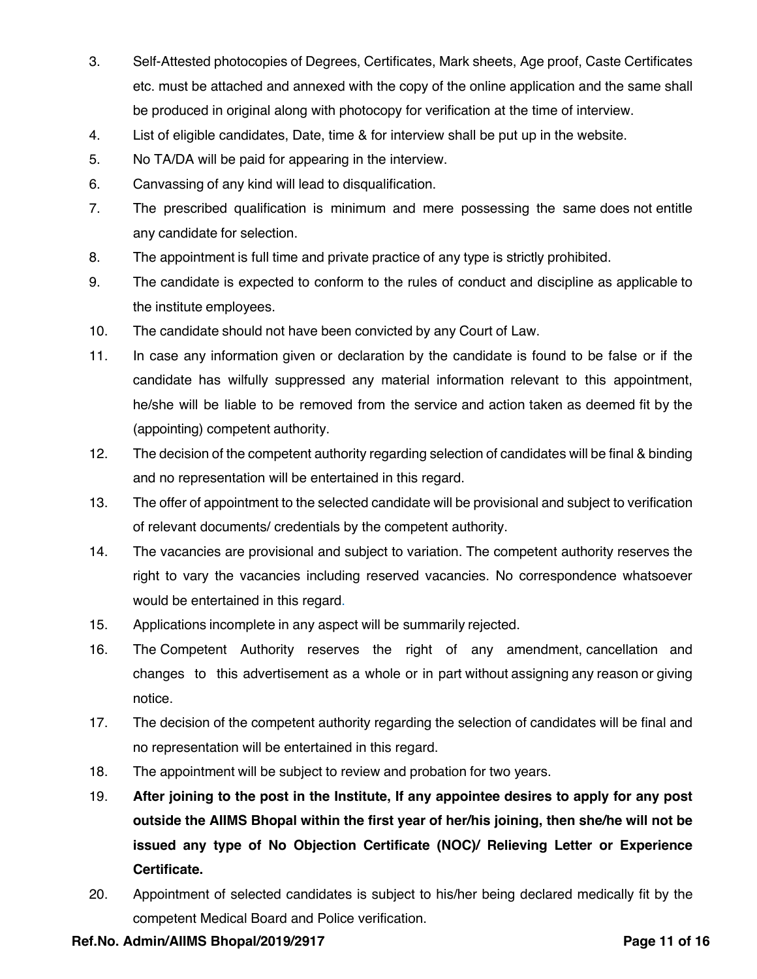- 3. Self-Attested photocopies of Degrees, Certificates, Mark sheets, Age proof, Caste Certificates etc. must be attached and annexed with the copy of the online application and the same shall be produced in original along with photocopy for verification at the time of interview.
- 4. List of eligible candidates, Date, time & for interview shall be put up in the website.
- 5. No TA/DA will be paid for appearing in the interview.
- 6. Canvassing of any kind will lead to disqualification.
- 7. The prescribed qualification is minimum and mere possessing the same does not entitle any candidate for selection.
- 8. The appointment is full time and private practice of any type is strictly prohibited.
- 9. The candidate is expected to conform to the rules of conduct and discipline as applicable to the institute employees.
- 10. The candidate should not have been convicted by any Court of Law.
- 11. In case any information given or declaration by the candidate is found to be false or if the candidate has wilfully suppressed any material information relevant to this appointment, he/she will be liable to be removed from the service and action taken as deemed fit by the (appointing) competent authority.
- 12. The decision of the competent authority regarding selection of candidates will be final & binding and no representation will be entertained in this regard.
- 13. The offer of appointment to the selected candidate will be provisional and subject to verification of relevant documents/ credentials by the competent authority.
- 14. The vacancies are provisional and subject to variation. The competent authority reserves the right to vary the vacancies including reserved vacancies. No correspondence whatsoever would be entertained in this regard.
- 15. Applications incomplete in any aspect will be summarily rejected.
- 16. The Competent Authority reserves the right of any amendment, cancellation and changes to this advertisement as a whole or in part without assigning any reason or giving notice.
- 17. The decision of the competent authority regarding the selection of candidates will be final and no representation will be entertained in this regard.
- 18. The appointment will be subject to review and probation for two years.
- 19. **After joining to the post in the Institute, If any appointee desires to apply for any post outside the AIIMS Bhopal within the first year of her/his joining, then she/he will not be issued any type of No Objection Certificate (NOC)/ Relieving Letter or Experience Certificate.**
- 20. Appointment of selected candidates is subject to his/her being declared medically fit by the competent Medical Board and Police verification.

#### **Ref.No. Admin/AIIMS Bhopal/2019/2917 Page 11 of 16**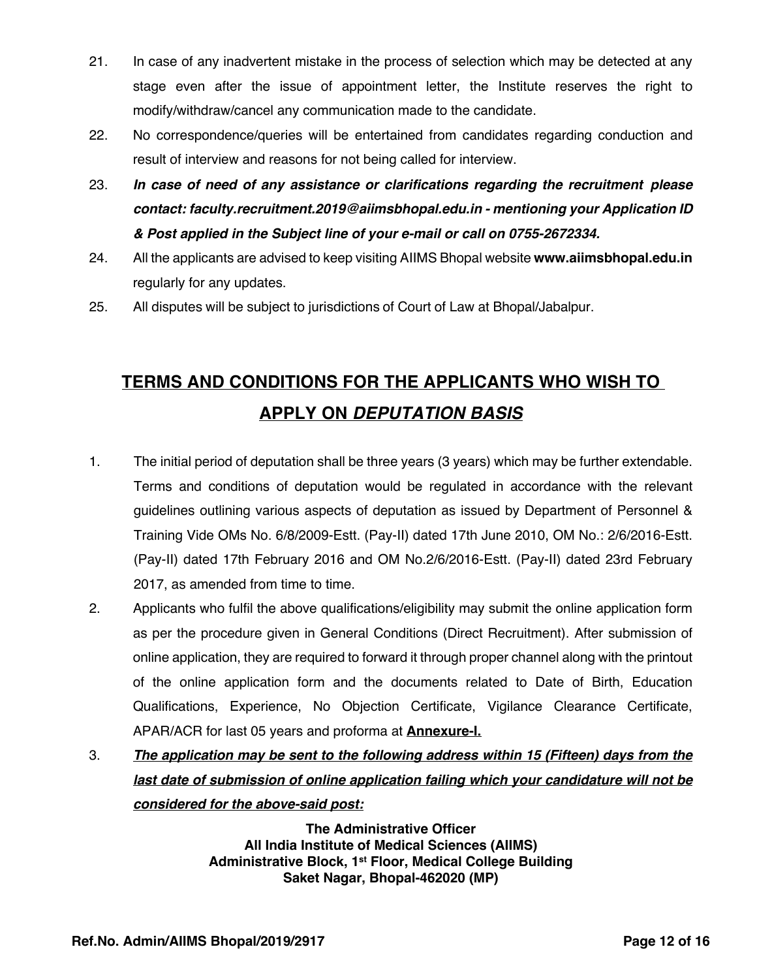- 21. In case of any inadvertent mistake in the process of selection which may be detected at any stage even after the issue of appointment letter, the Institute reserves the right to modify/withdraw/cancel any communication made to the candidate.
- 22. No correspondence/queries will be entertained from candidates regarding conduction and result of interview and reasons for not being called for interview.
- 23. *In case of need of any assistance or clarifications regarding the recruitment please contact: faculty.recruitment.2019@aiimsbhopal.edu.in - mentioning your Application ID & Post applied in the Subject line of your e-mail or call on 0755-2672334.*
- 24. All the applicants are advised to keep visiting AIIMS Bhopal website **www.aiimsbhopal.edu.in** regularly for any updates.
- 25. All disputes will be subject to jurisdictions of Court of Law at Bhopal/Jabalpur.

# **TERMS AND CONDITIONS FOR THE APPLICANTS WHO WISH TO APPLY ON** *DEPUTATION BASIS*

- 1. The initial period of deputation shall be three years (3 years) which may be further extendable. Terms and conditions of deputation would be regulated in accordance with the relevant guidelines outlining various aspects of deputation as issued by Department of Personnel & Training Vide OMs No. 6/8/2009-Estt. (Pay-II) dated 17th June 2010, OM No.: 2/6/2016-Estt. (Pay-II) dated 17th February 2016 and OM No.2/6/2016-Estt. (Pay-II) dated 23rd February 2017, as amended from time to time.
- 2. Applicants who fulfil the above qualifications/eligibility may submit the online application form as per the procedure given in General Conditions (Direct Recruitment). After submission of online application, they are required to forward it through proper channel along with the printout of the online application form and the documents related to Date of Birth, Education Qualifications, Experience, No Objection Certificate, Vigilance Clearance Certificate, APAR/ACR for last 05 years and proforma at **Annexure-I.**
- 3. *The application may be sent to the following address within 15 (Fifteen) days from the last date of submission of online application failing which your candidature will not be considered for the above-said post:*

**The Administrative Officer All India Institute of Medical Sciences (AIIMS) Administrative Block, 1st Floor, Medical College Building Saket Nagar, Bhopal-462020 (MP)**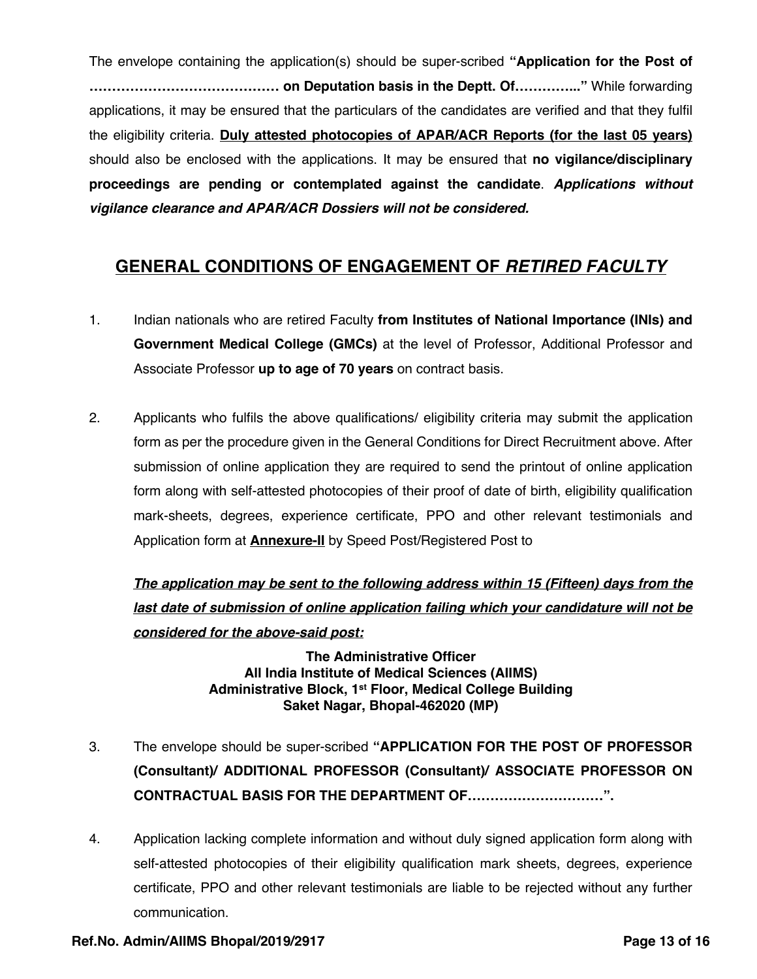The envelope containing the application(s) should be super-scribed **"Application for the Post of …………………………………… on Deputation basis in the Deptt. Of…………..."** While forwarding applications, it may be ensured that the particulars of the candidates are verified and that they fulfil the eligibility criteria. **Duly attested photocopies of APAR/ACR Reports (for the last 05 years)** should also be enclosed with the applications. It may be ensured that **no vigilance/disciplinary proceedings are pending or contemplated against the candidate**. *Applications without vigilance clearance and APAR/ACR Dossiers will not be considered.*

### **GENERAL CONDITIONS OF ENGAGEMENT OF** *RETIRED FACULTY*

- 1. Indian nationals who are retired Faculty **from Institutes of National Importance (INIs) and Government Medical College (GMCs)** at the level of Professor, Additional Professor and Associate Professor **up to age of 70 years** on contract basis.
- 2. Applicants who fulfils the above qualifications/ eligibility criteria may submit the application form as per the procedure given in the General Conditions for Direct Recruitment above. After submission of online application they are required to send the printout of online application form along with self-attested photocopies of their proof of date of birth, eligibility qualification mark-sheets, degrees, experience certificate, PPO and other relevant testimonials and Application form at **Annexure-II** by Speed Post/Registered Post to

*The application may be sent to the following address within 15 (Fifteen) days from the last date of submission of online application failing which your candidature will not be considered for the above-said post:*

> **The Administrative Officer All India Institute of Medical Sciences (AIIMS) Administrative Block, 1st Floor, Medical College Building Saket Nagar, Bhopal-462020 (MP)**

- 3. The envelope should be super-scribed **"APPLICATION FOR THE POST OF PROFESSOR (Consultant)/ ADDITIONAL PROFESSOR (Consultant)/ ASSOCIATE PROFESSOR ON CONTRACTUAL BASIS FOR THE DEPARTMENT OF…………………………".**
- 4. Application lacking complete information and without duly signed application form along with self-attested photocopies of their eligibility qualification mark sheets, degrees, experience certificate, PPO and other relevant testimonials are liable to be rejected without any further communication.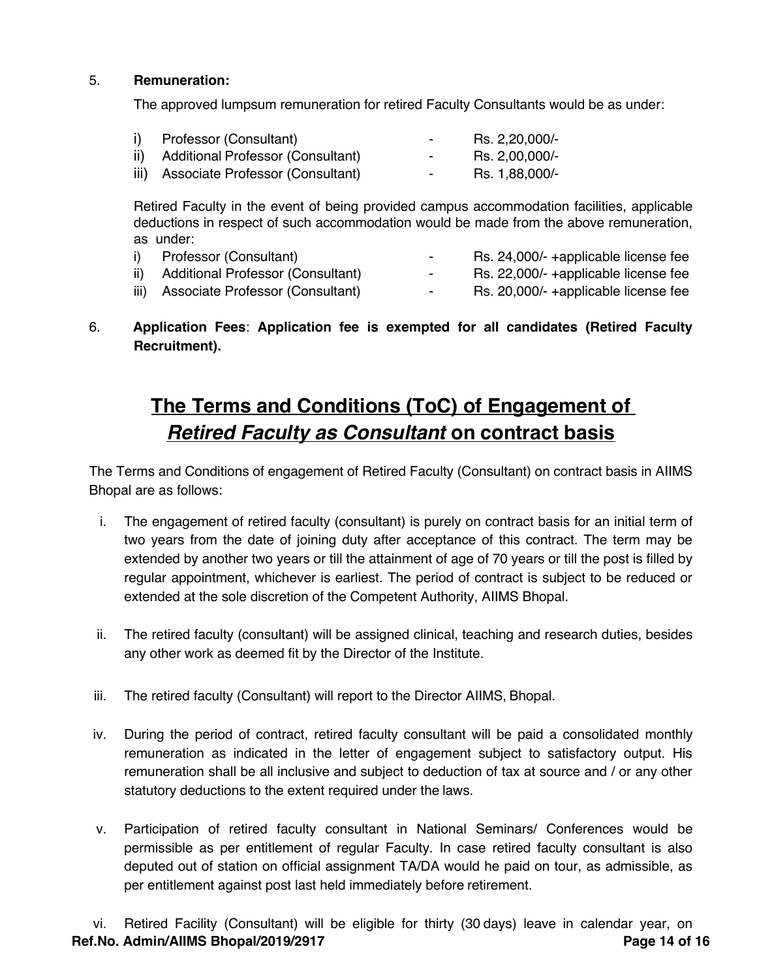#### 5. **Remuneration:**

The approved lumpsum remuneration for retired Faculty Consultants would be as under:

| i) Professor (Consultant)             | $\sim$ | Rs. 2,20,000/- |
|---------------------------------------|--------|----------------|
| ii) Additional Professor (Consultant) | $\sim$ | Rs. 2,00,000/- |
| iii) Associate Professor (Consultant) | $\sim$ | Rs. 1,88,000/- |

Retired Faculty in the event of being provided campus accommodation facilities, applicable deductions in respect of such accommodation would be made from the above remuneration, as under:

- i) Professor (Consultant) The Rs. 24,000/- +applicable license fee ii) Additional Professor (Consultant) - Rs. 22,000/- +applicable license fee
- iii) Associate Professor (Consultant) Rs. 20,000/- +applicable license fee
	-
- 6. **Application Fees**: **Application fee is exempted for all candidates (Retired Faculty Recruitment).**

# **The Terms and Conditions (ToC) of Engagement of**  *Retired Faculty as Consultant* **on contract basis**

The Terms and Conditions of engagement of Retired Faculty (Consultant) on contract basis in AIIMS Bhopal are as follows:

- i. The engagement of retired faculty (consultant) is purely on contract basis for an initial term of two years from the date of joining duty after acceptance of this contract. The term may be extended by another two years or till the attainment of age of 70 years or till the post is filled by regular appointment, whichever is earliest. The period of contract is subject to be reduced or extended at the sole discretion of the Competent Authority, AIIMS Bhopal.
- ii. The retired faculty (consultant) will be assigned clinical, teaching and research duties, besides any other work as deemed fit by the Director of the Institute.
- iii. The retired faculty (Consultant) will report to the Director AIIMS, Bhopal.
- iv. During the period of contract, retired faculty consultant will be paid a consolidated monthly remuneration as indicated in the letter of engagement subject to satisfactory output. His remuneration shall be all inclusive and subject to deduction of tax at source and / or any other statutory deductions to the extent required under the laws.
- v. Participation of retired faculty consultant in National Seminars/ Conferences would be permissible as per entitlement of regular Faculty. In case retired faculty consultant is also deputed out of station on official assignment TA/DA would he paid on tour, as admissible, as per entitlement against post last held immediately before retirement.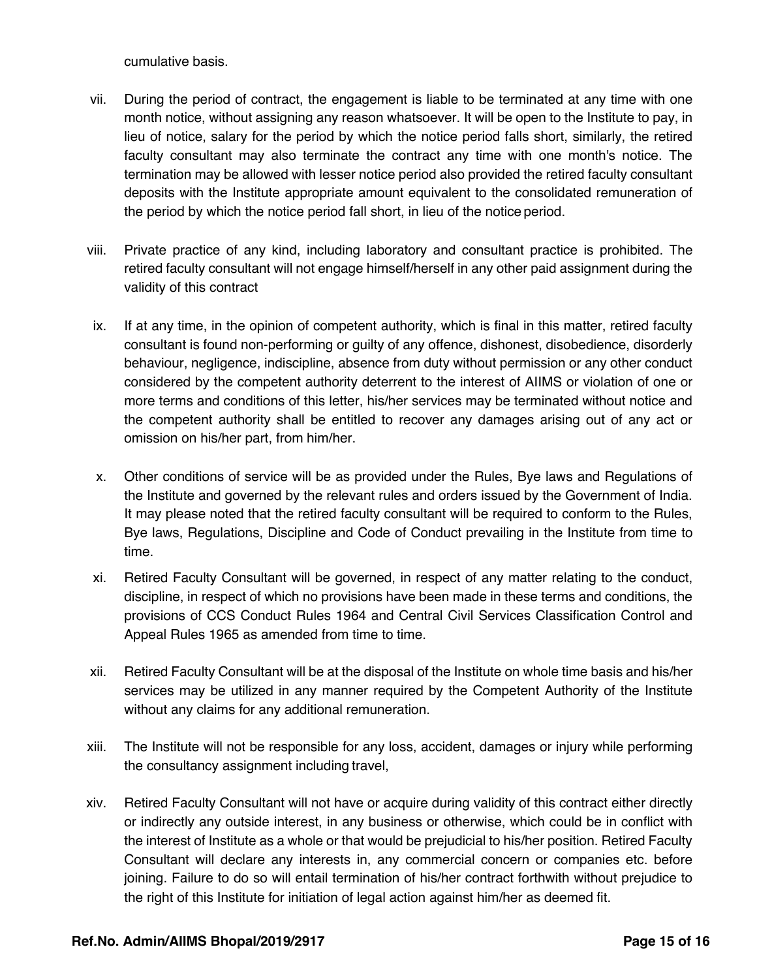cumulative basis.

- vii. During the period of contract, the engagement is liable to be terminated at any time with one month notice, without assigning any reason whatsoever. It will be open to the Institute to pay, in lieu of notice, salary for the period by which the notice period falls short, similarly, the retired faculty consultant may also terminate the contract any time with one month's notice. The termination may be allowed with lesser notice period also provided the retired faculty consultant deposits with the Institute appropriate amount equivalent to the consolidated remuneration of the period by which the notice period fall short, in lieu of the notice period.
- viii. Private practice of any kind, including laboratory and consultant practice is prohibited. The retired faculty consultant will not engage himself/herself in any other paid assignment during the validity of this contract
- ix. If at any time, in the opinion of competent authority, which is final in this matter, retired faculty consultant is found non-performing or guilty of any offence, dishonest, disobedience, disorderly behaviour, negligence, indiscipline, absence from duty without permission or any other conduct considered by the competent authority deterrent to the interest of AIIMS or violation of one or more terms and conditions of this letter, his/her services may be terminated without notice and the competent authority shall be entitled to recover any damages arising out of any act or omission on his/her part, from him/her.
- x. Other conditions of service will be as provided under the Rules, Bye laws and Regulations of the Institute and governed by the relevant rules and orders issued by the Government of India. It may please noted that the retired faculty consultant will be required to conform to the Rules, Bye laws, Regulations, Discipline and Code of Conduct prevailing in the Institute from time to time.
- xi. Retired Faculty Consultant will be governed, in respect of any matter relating to the conduct, discipline, in respect of which no provisions have been made in these terms and conditions, the provisions of CCS Conduct Rules 1964 and Central Civil Services Classification Control and Appeal Rules 1965 as amended from time to time.
- xii. Retired Faculty Consultant will be at the disposal of the Institute on whole time basis and his/her services may be utilized in any manner required by the Competent Authority of the Institute without any claims for any additional remuneration.
- xiii. The Institute will not be responsible for any loss, accident, damages or injury while performing the consultancy assignment including travel,
- xiv. Retired Faculty Consultant will not have or acquire during validity of this contract either directly or indirectly any outside interest, in any business or otherwise, which could be in conflict with the interest of Institute as a whole or that would be prejudicial to his/her position. Retired Faculty Consultant will declare any interests in, any commercial concern or companies etc. before joining. Failure to do so will entail termination of his/her contract forthwith without prejudice to the right of this Institute for initiation of legal action against him/her as deemed fit.